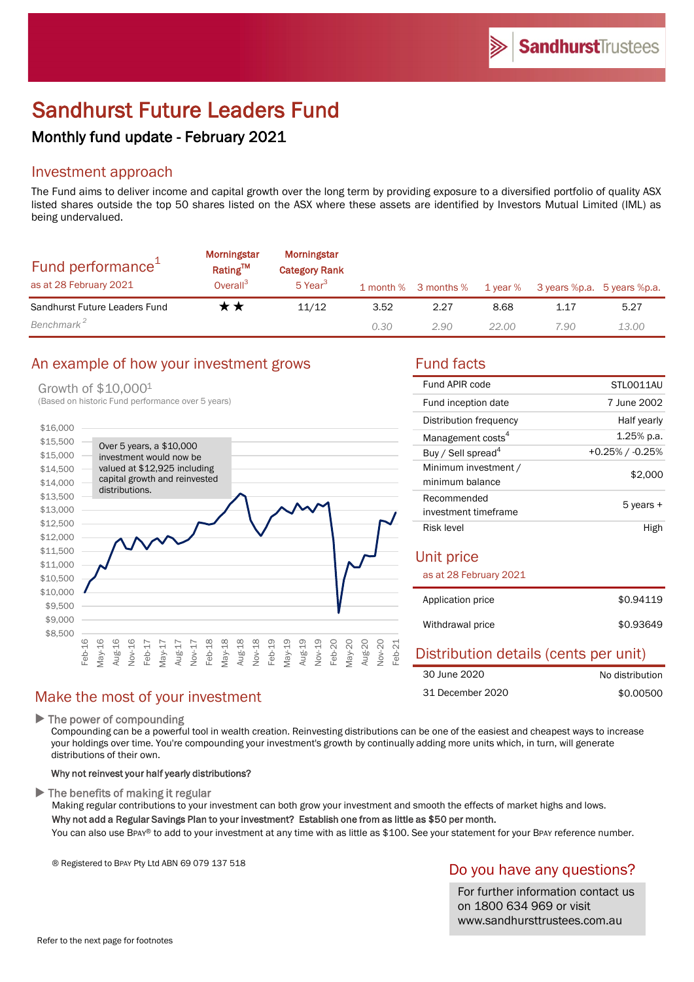# Sandhurst Future Leaders Fund

# Monthly fund update - February 2021

# Investment approach

The Fund aims to deliver income and capital growth over the long term by providing exposure to a diversified portfolio of quality ASX listed shares outside the top 50 shares listed on the ASX where these assets are identified by Investors Mutual Limited (IML) as being undervalued.

| Fund performance <sup>1</sup><br>as at 28 February 2021 | <b>Morningstar</b><br>Rating <sup>TM</sup><br>Overall <sup>3</sup> | Morningstar<br><b>Category Rank</b><br>$5$ Year <sup>3</sup> |      | 1 month % 3 months % | 1 year % | 3 years %p.a. 5 years %p.a. |       |
|---------------------------------------------------------|--------------------------------------------------------------------|--------------------------------------------------------------|------|----------------------|----------|-----------------------------|-------|
| Sandhurst Future Leaders Fund                           | r *                                                                | 11/12                                                        | 3.52 | 2.27                 | 8.68     | 1.17                        | 5.27  |
| Benchmark <sup>2</sup>                                  |                                                                    |                                                              | 0.30 | 2.90                 | 22.00    | 7.90                        | 13.00 |

#### An example of how your investment grows Fund facts

#### Growth of \$10,0001



#### Make the most of your investment

 $\blacktriangleright$  The power of compounding

Compounding can be a powerful tool in wealth creation. Reinvesting distributions can be one of the easiest and cheapest ways to increase your holdings over time. You're compounding your investment's growth by continually adding more units which, in turn, will generate distributions of their own.

#### Why not reinvest your half yearly distributions?

 $\blacktriangleright$  The benefits of making it regular

Making regular contributions to your investment can both grow your investment and smooth the effects of market highs and lows. Why not add a Regular Savings Plan to your investment? Establish one from as little as \$50 per month.

You can also use BPAY® to add to your investment at any time with as little as \$100. See your statement for your BPAY reference number.

® Registered to BPAY Pty Ltd ABN 69 079 137 518

#### Do you have any questions?

For further information contact us on 1800 634 969 or visit www.sandhursttrustees.com.au

| Fund APIR code                          | STLO011AU          |
|-----------------------------------------|--------------------|
| Fund inception date                     | 7 June 2002        |
| Distribution frequency                  | Half yearly        |
| Management costs <sup>4</sup>           | 1.25% p.a.         |
| Buy / Sell spread <sup>4</sup>          | $+0.25\%$ / -0.25% |
| Minimum investment /<br>minimum balance | \$2,000            |
| Recommended<br>investment timeframe     | 5 years +          |
| Risk level                              | High               |
| Unit price<br>as at 28 February 2021    |                    |
| Application price                       | \$0.94119          |

| Withdrawal price | \$0.93649 |
|------------------|-----------|

#### Distribution details (cents per unit) No distribution 30 June 2020

|                  | .         |
|------------------|-----------|
| 31 December 2020 | \$0,00500 |
|                  |           |